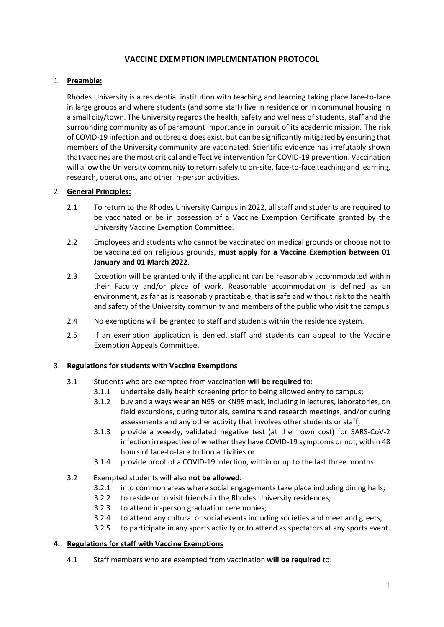# **VACCINE EXEMPTION IMPLEMENTATION PROTOCOL**

## 1. **Preamble:**

Rhodes University is a residential institution with teaching and learning taking place face-to-face in large groups and where students (and some staff) live in residence or in communal housing in a small city/town. The University regards the health, safety and wellness of students, staff and the surrounding community as of paramount importance in pursuit of its academic mission. The risk of COVID-19 infection and outbreaks does exist, but can be significantly mitigated by ensuring that members of the University community are vaccinated. Scientific evidence has irrefutably shown that vaccines are the most critical and effective intervention for COVID-19 prevention. Vaccination will allow the University community to return safely to on-site, face-to-face teaching and learning, research, operations, and other in-person activities.

### 2. **General Principles:**

- 2.1 To return to the Rhodes University Campus in 2022, all staff and students are required to be vaccinated or be in possession of a Vaccine Exemption Certificate granted by the University Vaccine Exemption Committee.
- 2.2 Employees and students who cannot be vaccinated on medical grounds or choose not to be vaccinated on religious grounds, **must apply for a Vaccine Exemption between 01 January and 01 March 2022**.
- 2.3 Exception will be granted only if the applicant can be reasonably accommodated within their Faculty and/or place of work. Reasonable accommodation is defined as an environment, as far as is reasonably practicable, that is safe and without risk to the health and safety of the University community and members of the public who visit the campus
- 2.4 No exemptions will be granted to staff and students within the residence system.
- 2.5 If an exemption application is denied, staff and students can appeal to the Vaccine Exemption Appeals Committee.

### 3. **Regulations for students with Vaccine Exemptions**

- 3.1 Students who are exempted from vaccination **will be required** to:
	- 3.1.1 undertake daily health screening prior to being allowed entry to campus;
	- 3.1.2 buy and always wear an N95 or KN95 mask, including in lectures, laboratories, on field excursions, during tutorials, seminars and research meetings, and/or during assessments and any other activity that involves other students or staff;
	- 3.1.3 provide a weekly, validated negative test (at their own cost) for SARS-CoV-2 infection irrespective of whether they have COVID-19 symptoms or not, within 48 hours of face-to-face tuition activities or
	- 3.1.4 provide proof of a COVID-19 infection, within or up to the last three months.

### 3.2 Exempted students will also **not be allowed**:

- 3.2.1 into common areas where social engagements take place including dining halls;
- 3.2.2 to reside or to visit friends in the Rhodes University residences;
- 3.2.3 to attend in-person graduation ceremonies;
- 3.2.4 to attend any cultural or social events including societies and meet and greets;
- 3.2.5 to participate in any sports activity or to attend as spectators at any sports event.

### **4. Regulations for staff with Vaccine Exemptions**

4.1 Staff members who are exempted from vaccination **will be required** to: